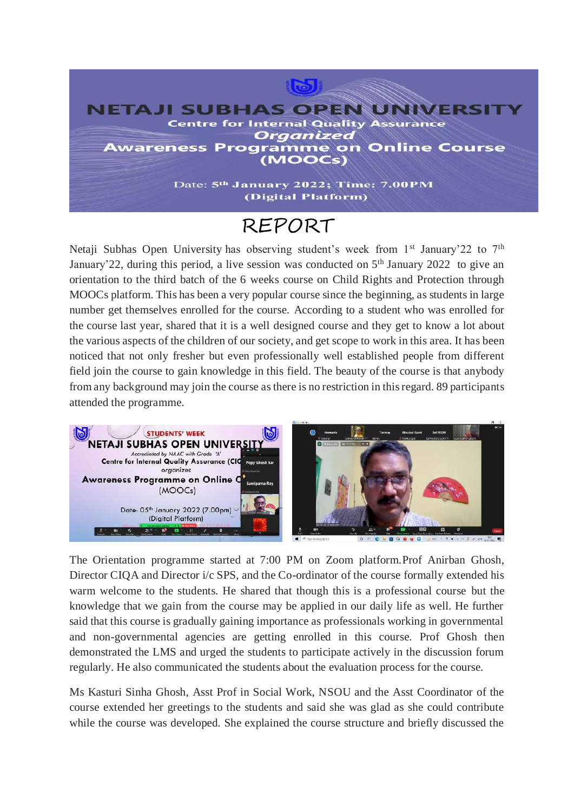

## REPORT

Netaji Subhas Open University has observing student's week from 1<sup>st</sup> January'22 to 7<sup>th</sup> January'22, during this period, a live session was conducted on  $5<sup>th</sup>$  January 2022 to give an orientation to the third batch of the 6 weeks course on Child Rights and Protection through MOOCs platform. This has been a very popular course since the beginning, as students in large number get themselves enrolled for the course. According to a student who was enrolled for the course last year, shared that it is a well designed course and they get to know a lot about the various aspects of the children of our society, and get scope to work in this area. It has been noticed that not only fresher but even professionally well established people from different field join the course to gain knowledge in this field. The beauty of the course is that anybody from any background may join the course as there is no restriction in this regard. 89 participants attended the programme.



The Orientation programme started at 7:00 PM on Zoom platform.Prof Anirban Ghosh, Director CIQA and Director i/c SPS, and the Co-ordinator of the course formally extended his warm welcome to the students. He shared that though this is a professional course but the knowledge that we gain from the course may be applied in our daily life as well. He further said that this course is gradually gaining importance as professionals working in governmental and non-governmental agencies are getting enrolled in this course. Prof Ghosh then demonstrated the LMS and urged the students to participate actively in the discussion forum regularly. He also communicated the students about the evaluation process for the course.

Ms Kasturi Sinha Ghosh, Asst Prof in Social Work, NSOU and the Asst Coordinator of the course extended her greetings to the students and said she was glad as she could contribute while the course was developed. She explained the course structure and briefly discussed the